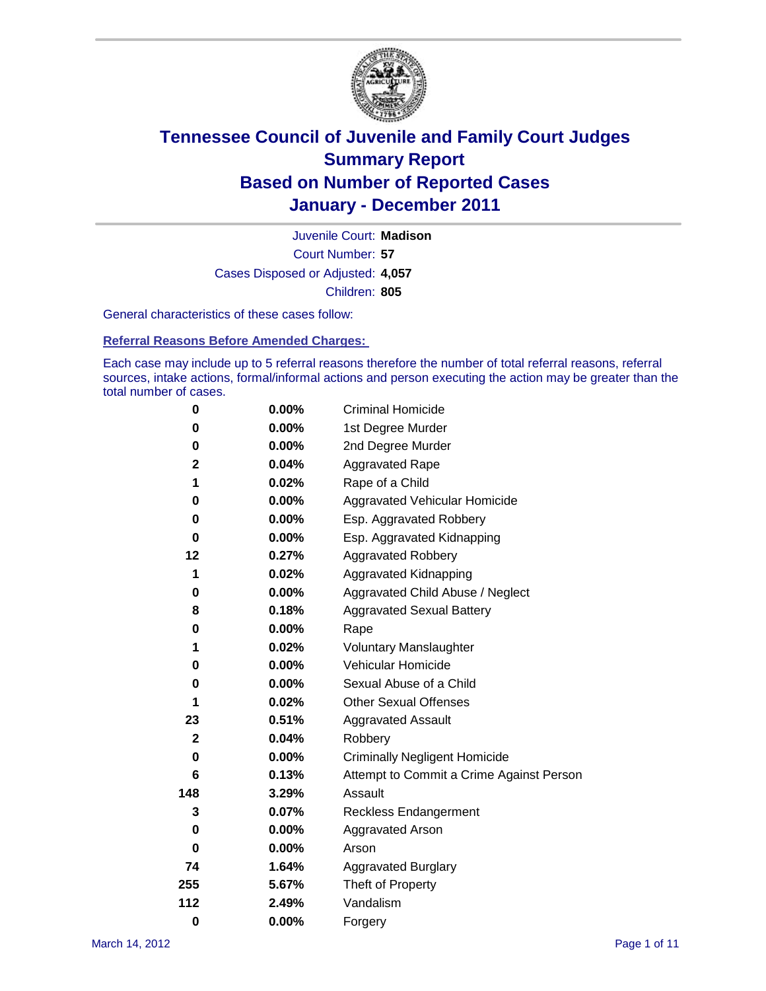

Court Number: **57** Juvenile Court: **Madison** Cases Disposed or Adjusted: **4,057** Children: **805**

General characteristics of these cases follow:

**Referral Reasons Before Amended Charges:** 

Each case may include up to 5 referral reasons therefore the number of total referral reasons, referral sources, intake actions, formal/informal actions and person executing the action may be greater than the total number of cases.

| 0            | $0.00\%$ | <b>Criminal Homicide</b>                 |
|--------------|----------|------------------------------------------|
| 0            | 0.00%    | 1st Degree Murder                        |
| 0            | $0.00\%$ | 2nd Degree Murder                        |
| 2            | 0.04%    | <b>Aggravated Rape</b>                   |
| 1            | 0.02%    | Rape of a Child                          |
| 0            | 0.00%    | Aggravated Vehicular Homicide            |
| 0            | 0.00%    | Esp. Aggravated Robbery                  |
| 0            | $0.00\%$ | Esp. Aggravated Kidnapping               |
| 12           | 0.27%    | <b>Aggravated Robbery</b>                |
| 1            | 0.02%    | Aggravated Kidnapping                    |
| 0            | 0.00%    | Aggravated Child Abuse / Neglect         |
| 8            | 0.18%    | <b>Aggravated Sexual Battery</b>         |
| 0            | 0.00%    | Rape                                     |
| 1            | 0.02%    | <b>Voluntary Manslaughter</b>            |
| 0            | 0.00%    | Vehicular Homicide                       |
| 0            | 0.00%    | Sexual Abuse of a Child                  |
| 1            | 0.02%    | <b>Other Sexual Offenses</b>             |
| 23           | 0.51%    | <b>Aggravated Assault</b>                |
| $\mathbf{2}$ | 0.04%    | Robbery                                  |
| 0            | 0.00%    | <b>Criminally Negligent Homicide</b>     |
| 6            | 0.13%    | Attempt to Commit a Crime Against Person |
| 148          | 3.29%    | Assault                                  |
| 3            | 0.07%    | <b>Reckless Endangerment</b>             |
| 0            | 0.00%    | <b>Aggravated Arson</b>                  |
| 0            | 0.00%    | Arson                                    |
| 74           | 1.64%    | <b>Aggravated Burglary</b>               |
| 255          | 5.67%    | Theft of Property                        |
| 112          | 2.49%    | Vandalism                                |
| $\bf{0}$     | 0.00%    | Forgery                                  |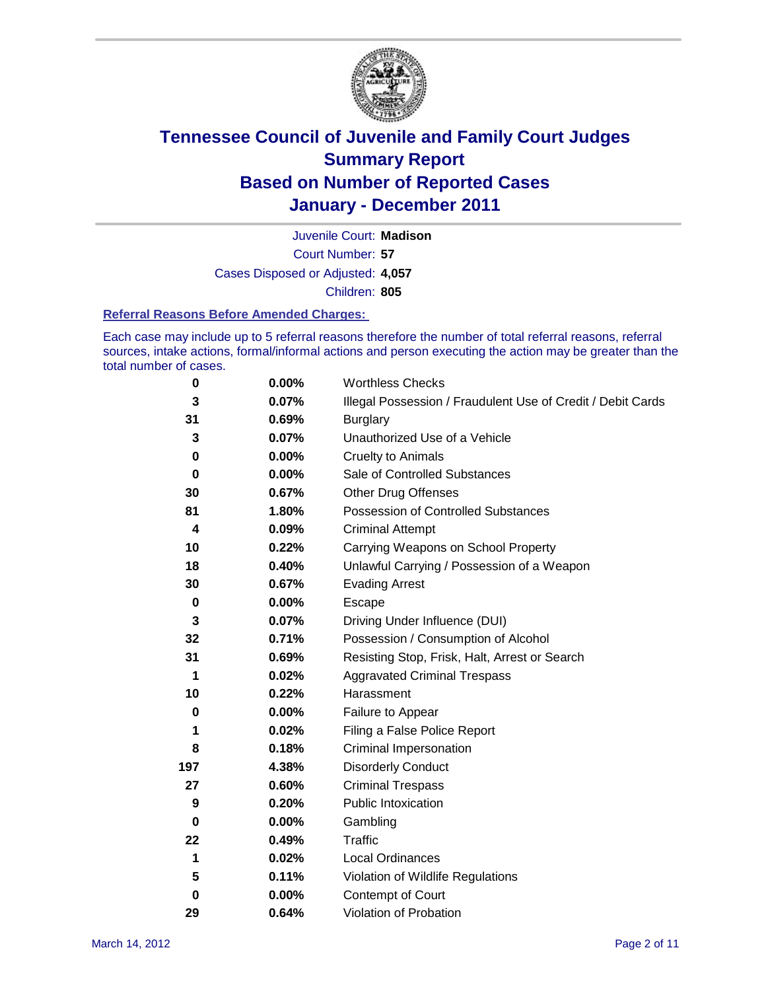

Court Number: **57** Juvenile Court: **Madison** Cases Disposed or Adjusted: **4,057** Children: **805**

#### **Referral Reasons Before Amended Charges:**

Each case may include up to 5 referral reasons therefore the number of total referral reasons, referral sources, intake actions, formal/informal actions and person executing the action may be greater than the total number of cases.

| $\pmb{0}$   | 0.00%    | <b>Worthless Checks</b>                                     |  |  |
|-------------|----------|-------------------------------------------------------------|--|--|
| 3           | 0.07%    | Illegal Possession / Fraudulent Use of Credit / Debit Cards |  |  |
| 31          | 0.69%    | <b>Burglary</b>                                             |  |  |
| 3           | 0.07%    | Unauthorized Use of a Vehicle                               |  |  |
| 0           | $0.00\%$ | <b>Cruelty to Animals</b>                                   |  |  |
| $\bf{0}$    | $0.00\%$ | Sale of Controlled Substances                               |  |  |
| 30          | 0.67%    | <b>Other Drug Offenses</b>                                  |  |  |
| 81          | 1.80%    | Possession of Controlled Substances                         |  |  |
| 4           | 0.09%    | <b>Criminal Attempt</b>                                     |  |  |
| 10          | 0.22%    | Carrying Weapons on School Property                         |  |  |
| 18          | 0.40%    | Unlawful Carrying / Possession of a Weapon                  |  |  |
| 30          | 0.67%    | <b>Evading Arrest</b>                                       |  |  |
| $\mathbf 0$ | 0.00%    | Escape                                                      |  |  |
| 3           | 0.07%    | Driving Under Influence (DUI)                               |  |  |
| 32          | 0.71%    | Possession / Consumption of Alcohol                         |  |  |
| 31          | 0.69%    | Resisting Stop, Frisk, Halt, Arrest or Search               |  |  |
| 1           | 0.02%    | <b>Aggravated Criminal Trespass</b>                         |  |  |
| 10          | 0.22%    | Harassment                                                  |  |  |
| $\bf{0}$    | 0.00%    | Failure to Appear                                           |  |  |
| 1           | 0.02%    | Filing a False Police Report                                |  |  |
| 8           | 0.18%    | Criminal Impersonation                                      |  |  |
| 197         | 4.38%    | <b>Disorderly Conduct</b>                                   |  |  |
| 27          | 0.60%    | <b>Criminal Trespass</b>                                    |  |  |
| 9           | 0.20%    | <b>Public Intoxication</b>                                  |  |  |
| 0           | 0.00%    | Gambling                                                    |  |  |
| 22          | 0.49%    | <b>Traffic</b>                                              |  |  |
| 1           | 0.02%    | <b>Local Ordinances</b>                                     |  |  |
| 5           | 0.11%    | Violation of Wildlife Regulations                           |  |  |
| 0           | $0.00\%$ | Contempt of Court                                           |  |  |
| 29          | 0.64%    | Violation of Probation                                      |  |  |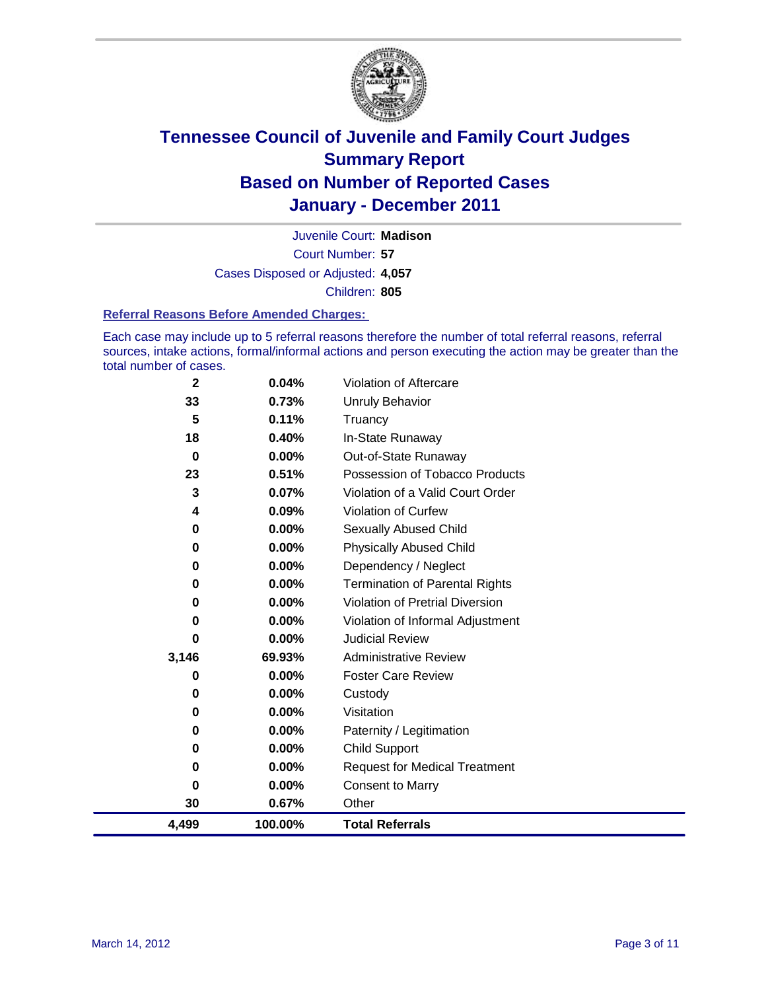

Court Number: **57** Juvenile Court: **Madison** Cases Disposed or Adjusted: **4,057** Children: **805**

#### **Referral Reasons Before Amended Charges:**

Each case may include up to 5 referral reasons therefore the number of total referral reasons, referral sources, intake actions, formal/informal actions and person executing the action may be greater than the total number of cases.

| $\mathbf{2}$ | 0.04%   | Violation of Aftercare                 |
|--------------|---------|----------------------------------------|
| 33           | 0.73%   | Unruly Behavior                        |
| 5            | 0.11%   | Truancy                                |
| 18           | 0.40%   | In-State Runaway                       |
| 0            | 0.00%   | Out-of-State Runaway                   |
| 23           | 0.51%   | Possession of Tobacco Products         |
| 3            | 0.07%   | Violation of a Valid Court Order       |
| 4            | 0.09%   | <b>Violation of Curfew</b>             |
| 0            | 0.00%   | Sexually Abused Child                  |
| 0            | 0.00%   | <b>Physically Abused Child</b>         |
| 0            | 0.00%   | Dependency / Neglect                   |
| 0            | 0.00%   | <b>Termination of Parental Rights</b>  |
| 0            | 0.00%   | <b>Violation of Pretrial Diversion</b> |
| 0            | 0.00%   | Violation of Informal Adjustment       |
| 0            | 0.00%   | <b>Judicial Review</b>                 |
| 3,146        | 69.93%  | <b>Administrative Review</b>           |
| 0            | 0.00%   | <b>Foster Care Review</b>              |
| 0            | 0.00%   | Custody                                |
| 0            | 0.00%   | Visitation                             |
| 0            | 0.00%   | Paternity / Legitimation               |
| 0            | 0.00%   | <b>Child Support</b>                   |
| 0            | 0.00%   | <b>Request for Medical Treatment</b>   |
| 0            | 0.00%   | <b>Consent to Marry</b>                |
| 30           | 0.67%   | Other                                  |
| 4,499        | 100.00% | <b>Total Referrals</b>                 |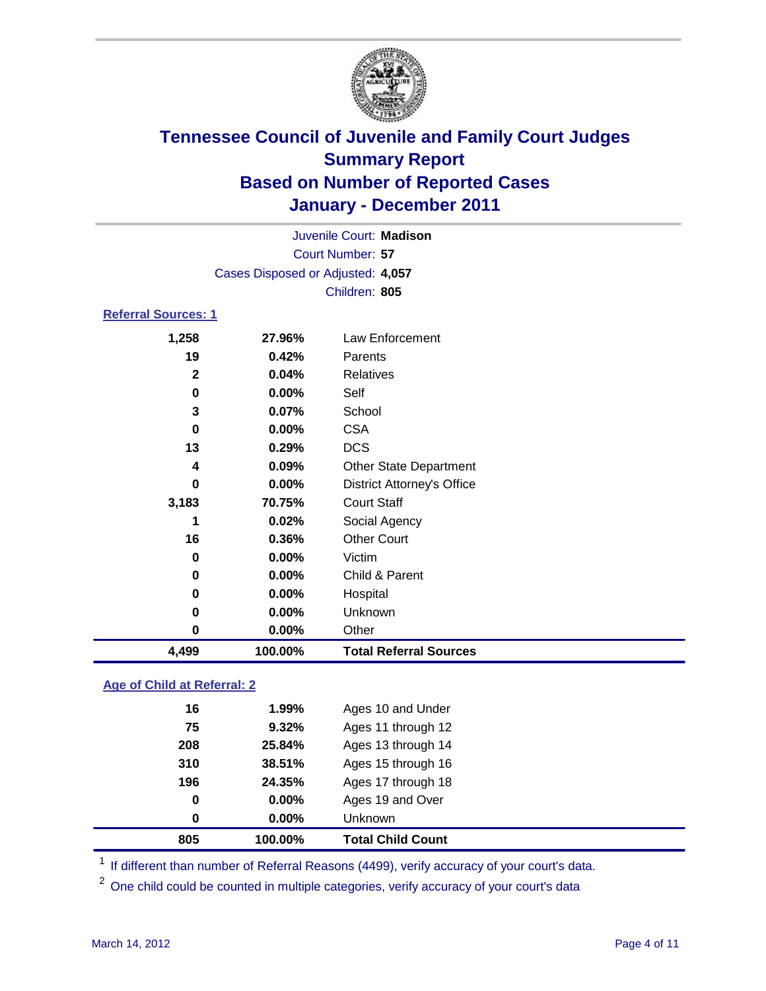

|                            |                                   | Juvenile Court: Madison           |  |  |  |
|----------------------------|-----------------------------------|-----------------------------------|--|--|--|
| Court Number: 57           |                                   |                                   |  |  |  |
|                            | Cases Disposed or Adjusted: 4,057 |                                   |  |  |  |
|                            |                                   | Children: 805                     |  |  |  |
| <b>Referral Sources: 1</b> |                                   |                                   |  |  |  |
| 1,258                      | 27.96%                            | Law Enforcement                   |  |  |  |
| 19                         | $0.42\%$                          | Parents                           |  |  |  |
| $\mathbf{2}$               | 0.04%                             | <b>Relatives</b>                  |  |  |  |
| 0                          | $0.00\%$                          | Self                              |  |  |  |
| 3                          | $0.07\%$                          | School                            |  |  |  |
| 0                          | $0.00\%$                          | <b>CSA</b>                        |  |  |  |
| 13                         | 0.29%                             | <b>DCS</b>                        |  |  |  |
| 4                          | $0.09\%$                          | <b>Other State Department</b>     |  |  |  |
| 0                          | $0.00\%$                          | <b>District Attorney's Office</b> |  |  |  |

| 4,499 | 100.00%  | <b>Total Referral Sources</b> |  |
|-------|----------|-------------------------------|--|
| 0     | 0.00%    | Other                         |  |
| 0     | 0.00%    | Unknown                       |  |
| 0     | $0.00\%$ | Hospital                      |  |
| 0     | $0.00\%$ | Child & Parent                |  |
| 0     | $0.00\%$ | Victim                        |  |
| 16    | 0.36%    | <b>Other Court</b>            |  |
| 1     | 0.02%    | Social Agency                 |  |
| 3,183 | 70.75%   | <b>Court Staff</b>            |  |
|       |          |                               |  |

### **Age of Child at Referral: 2**

| 0.00%  | <b>Unknown</b>     |
|--------|--------------------|
|        |                    |
| 0.00%  | Ages 19 and Over   |
| 24.35% | Ages 17 through 18 |
| 38.51% | Ages 15 through 16 |
| 25.84% | Ages 13 through 14 |
| 9.32%  | Ages 11 through 12 |
| 1.99%  | Ages 10 and Under  |
|        |                    |

<sup>1</sup> If different than number of Referral Reasons (4499), verify accuracy of your court's data.

<sup>2</sup> One child could be counted in multiple categories, verify accuracy of your court's data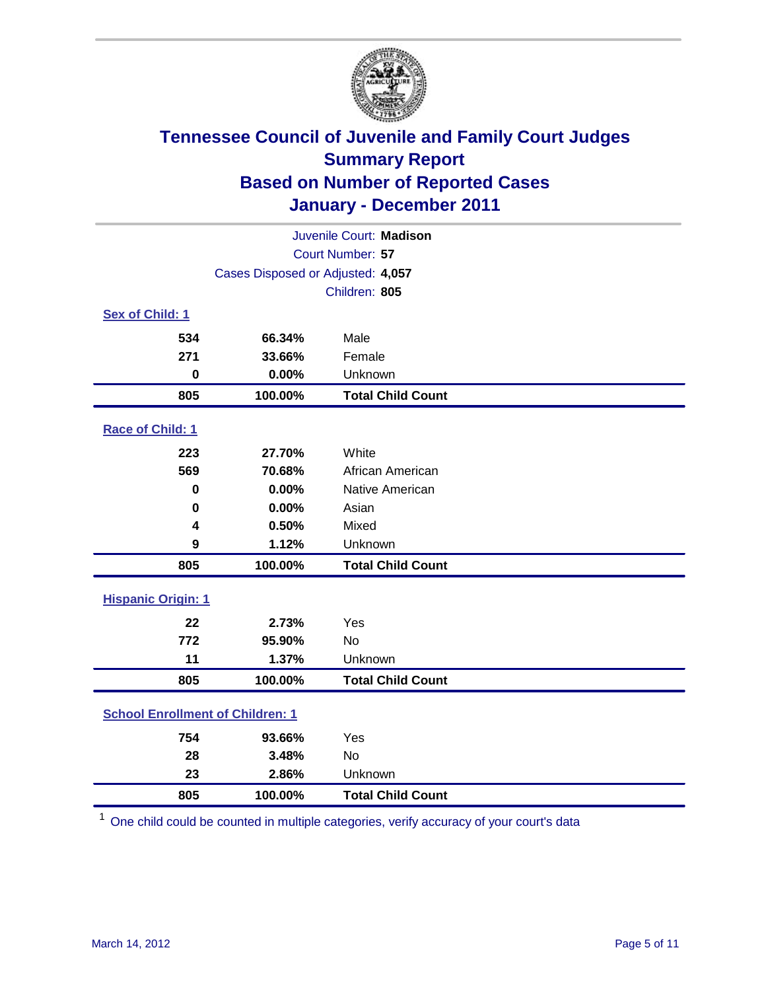

| Juvenile Court: Madison                 |                                   |                          |  |  |  |
|-----------------------------------------|-----------------------------------|--------------------------|--|--|--|
|                                         | Court Number: 57                  |                          |  |  |  |
|                                         | Cases Disposed or Adjusted: 4,057 |                          |  |  |  |
|                                         | Children: 805                     |                          |  |  |  |
| Sex of Child: 1                         |                                   |                          |  |  |  |
| 534                                     | 66.34%                            | Male                     |  |  |  |
| 271                                     | 33.66%                            | Female                   |  |  |  |
| $\bf{0}$                                | 0.00%                             | Unknown                  |  |  |  |
| 805                                     | 100.00%                           | <b>Total Child Count</b> |  |  |  |
| Race of Child: 1                        |                                   |                          |  |  |  |
| 223                                     | 27.70%                            | White                    |  |  |  |
| 569                                     | 70.68%                            | African American         |  |  |  |
| $\mathbf 0$                             | 0.00%                             | Native American          |  |  |  |
| 0                                       | 0.00%                             | Asian                    |  |  |  |
| 4                                       | 0.50%                             | Mixed                    |  |  |  |
| 9                                       | 1.12%                             | Unknown                  |  |  |  |
| 805                                     | 100.00%                           | <b>Total Child Count</b> |  |  |  |
| <b>Hispanic Origin: 1</b>               |                                   |                          |  |  |  |
| 22                                      | 2.73%                             | Yes                      |  |  |  |
| 772                                     | 95.90%                            | No                       |  |  |  |
| 11                                      | 1.37%                             | Unknown                  |  |  |  |
| 805                                     | 100.00%                           | <b>Total Child Count</b> |  |  |  |
| <b>School Enrollment of Children: 1</b> |                                   |                          |  |  |  |
| 754                                     | 93.66%                            | Yes                      |  |  |  |
| 28                                      | 3.48%                             | <b>No</b>                |  |  |  |
| 23                                      | 2.86%                             | Unknown                  |  |  |  |
| 805                                     | 100.00%                           | <b>Total Child Count</b> |  |  |  |

One child could be counted in multiple categories, verify accuracy of your court's data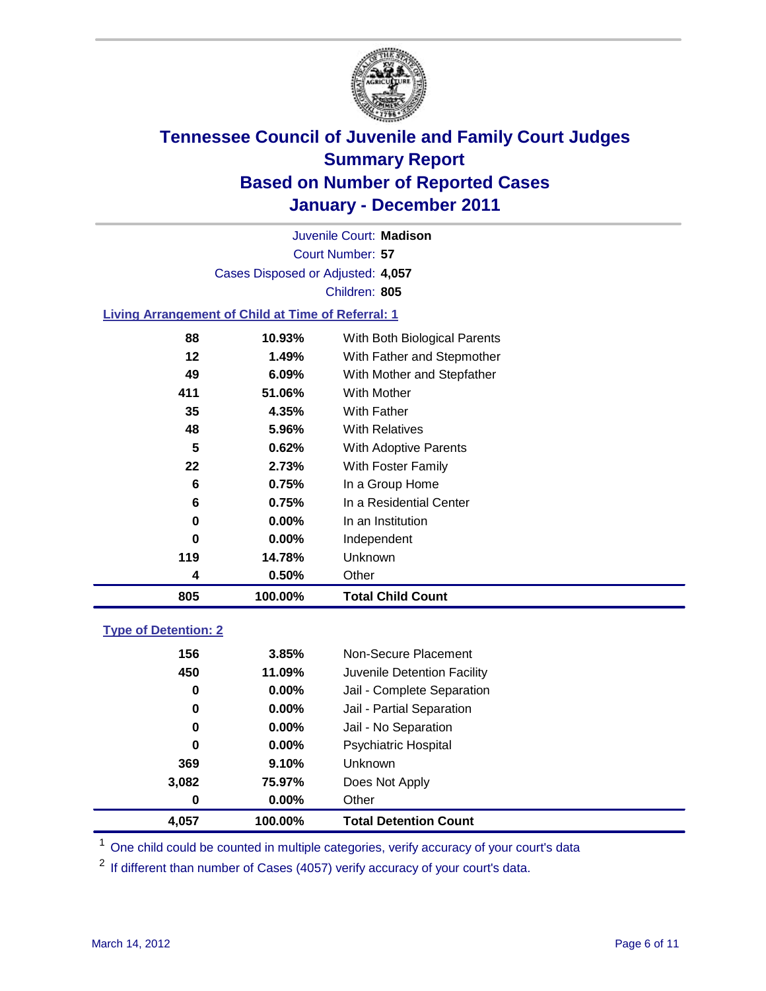

Court Number: **57** Juvenile Court: **Madison** Cases Disposed or Adjusted: **4,057** Children: **805**

### **Living Arrangement of Child at Time of Referral: 1**

| 805 | 100.00%  | <b>Total Child Count</b>     |
|-----|----------|------------------------------|
| 4   | 0.50%    | Other                        |
| 119 | 14.78%   | Unknown                      |
| 0   | $0.00\%$ | Independent                  |
| 0   | $0.00\%$ | In an Institution            |
| 6   | 0.75%    | In a Residential Center      |
| 6   | 0.75%    | In a Group Home              |
| 22  | 2.73%    | With Foster Family           |
| 5   | 0.62%    | With Adoptive Parents        |
| 48  | 5.96%    | <b>With Relatives</b>        |
| 35  | 4.35%    | With Father                  |
| 411 | 51.06%   | <b>With Mother</b>           |
| 49  | $6.09\%$ | With Mother and Stepfather   |
| 12  | 1.49%    | With Father and Stepmother   |
| 88  | 10.93%   | With Both Biological Parents |
|     |          |                              |

### **Type of Detention: 2**

| 4,057 | 100.00%  | <b>Total Detention Count</b> |
|-------|----------|------------------------------|
| 0     | $0.00\%$ | Other                        |
| 3,082 | 75.97%   | Does Not Apply               |
| 369   | 9.10%    | Unknown                      |
| 0     | $0.00\%$ | Psychiatric Hospital         |
| 0     | 0.00%    | Jail - No Separation         |
| 0     | $0.00\%$ | Jail - Partial Separation    |
| 0     | 0.00%    | Jail - Complete Separation   |
| 450   | 11.09%   | Juvenile Detention Facility  |
| 156   | 3.85%    | Non-Secure Placement         |
|       |          |                              |

<sup>1</sup> One child could be counted in multiple categories, verify accuracy of your court's data

<sup>2</sup> If different than number of Cases (4057) verify accuracy of your court's data.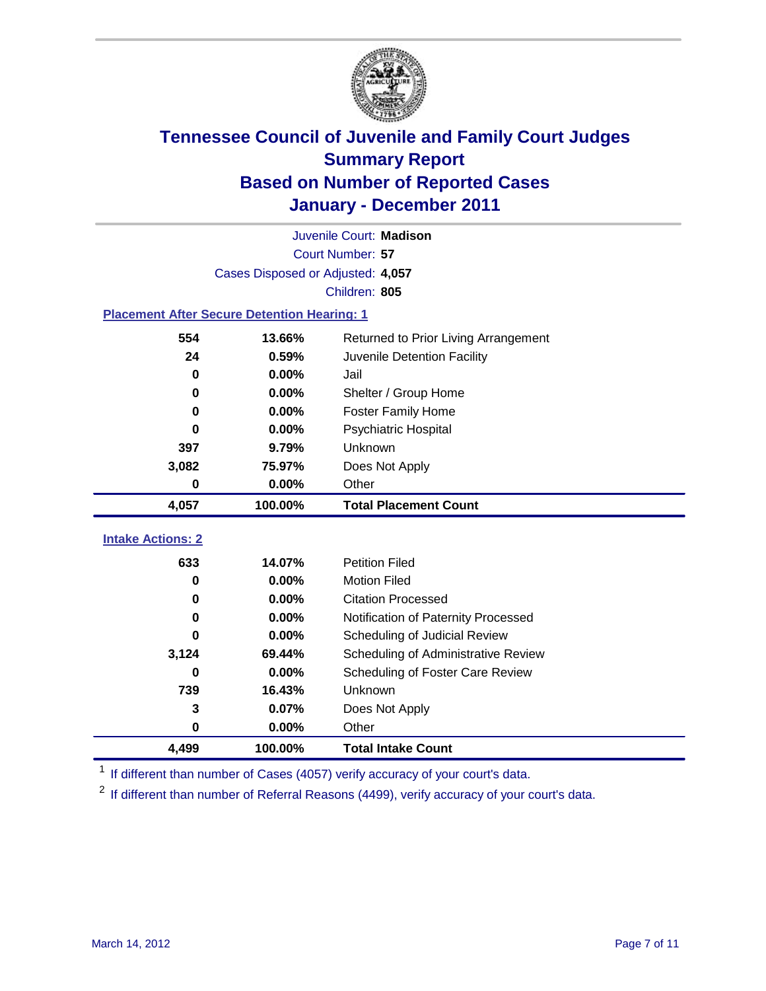

|                                                    | Juvenile Court: Madison                        |                                     |  |  |  |  |
|----------------------------------------------------|------------------------------------------------|-------------------------------------|--|--|--|--|
|                                                    | Court Number: 57                               |                                     |  |  |  |  |
|                                                    | Cases Disposed or Adjusted: 4,057              |                                     |  |  |  |  |
| Children: 805                                      |                                                |                                     |  |  |  |  |
| <b>Placement After Secure Detention Hearing: 1</b> |                                                |                                     |  |  |  |  |
| 554                                                | 13.66%<br>Returned to Prior Living Arrangement |                                     |  |  |  |  |
| 24                                                 | 0.59%                                          | Juvenile Detention Facility         |  |  |  |  |
| $\bf{0}$                                           | 0.00%                                          | Jail                                |  |  |  |  |
| 0                                                  | 0.00%                                          | Shelter / Group Home                |  |  |  |  |
| 0                                                  | 0.00%                                          | Foster Family Home                  |  |  |  |  |
| $\bf{0}$                                           | 0.00%                                          | Psychiatric Hospital                |  |  |  |  |
| 397                                                | 9.79%                                          | Unknown                             |  |  |  |  |
| 3,082                                              | 75.97%                                         | Does Not Apply                      |  |  |  |  |
| $\mathbf 0$                                        | 0.00%                                          | Other                               |  |  |  |  |
| 4,057                                              | 100.00%                                        | <b>Total Placement Count</b>        |  |  |  |  |
|                                                    |                                                |                                     |  |  |  |  |
| <b>Intake Actions: 2</b>                           |                                                |                                     |  |  |  |  |
| 633                                                | 14.07%                                         | <b>Petition Filed</b>               |  |  |  |  |
| 0                                                  | 0.00%                                          | <b>Motion Filed</b>                 |  |  |  |  |
| 0                                                  | 0.00%                                          | <b>Citation Processed</b>           |  |  |  |  |
| 0                                                  | 0.00%                                          | Notification of Paternity Processed |  |  |  |  |
| $\bf{0}$                                           | 0.00%                                          | Scheduling of Judicial Review       |  |  |  |  |
| 3,124                                              | 69.44%                                         | Scheduling of Administrative Review |  |  |  |  |
| 0                                                  | 0.00%                                          | Scheduling of Foster Care Review    |  |  |  |  |
| 739                                                | 16.43%                                         | Unknown                             |  |  |  |  |
| 3                                                  | 0.07%                                          | Does Not Apply                      |  |  |  |  |
| 0                                                  | 0.00%                                          | Other                               |  |  |  |  |
| 4,499                                              | 100.00%                                        | <b>Total Intake Count</b>           |  |  |  |  |

<sup>1</sup> If different than number of Cases (4057) verify accuracy of your court's data.

<sup>2</sup> If different than number of Referral Reasons (4499), verify accuracy of your court's data.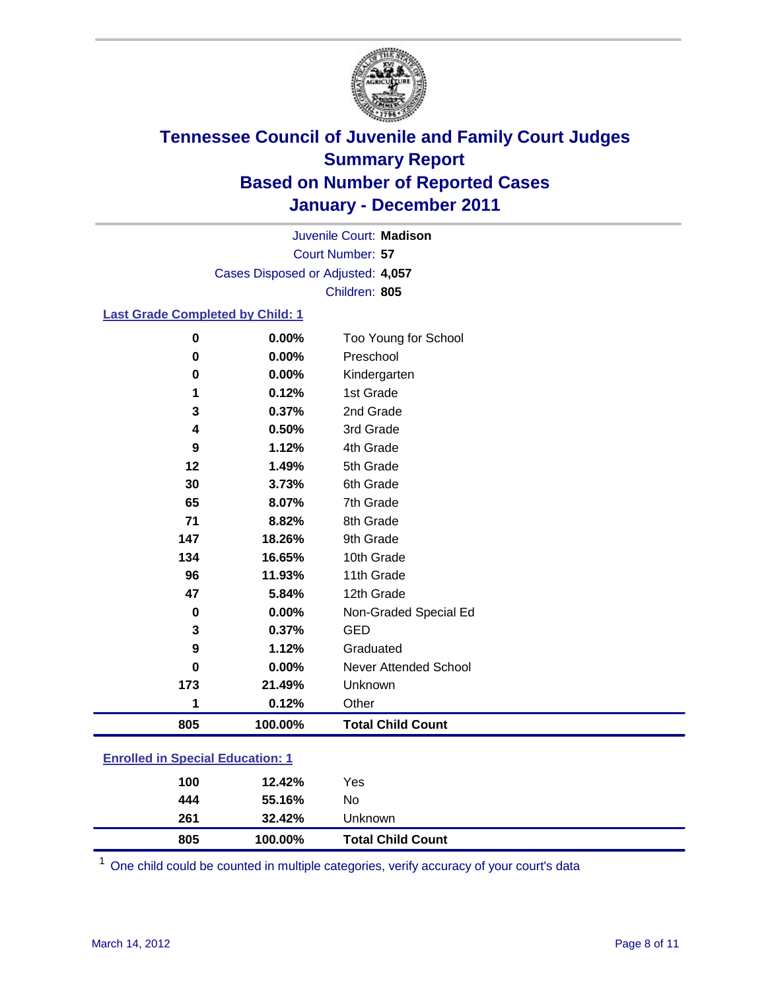

Court Number: **57** Juvenile Court: **Madison** Cases Disposed or Adjusted: **4,057** Children: **805**

### **Last Grade Completed by Child: 1**

| 0                                       | 0.00%   | Too Young for School     |  |
|-----------------------------------------|---------|--------------------------|--|
| 0                                       | 0.00%   | Preschool                |  |
| 0                                       | 0.00%   | Kindergarten             |  |
| 1                                       | 0.12%   | 1st Grade                |  |
| 3                                       | 0.37%   | 2nd Grade                |  |
| 4                                       | 0.50%   | 3rd Grade                |  |
| 9                                       | 1.12%   | 4th Grade                |  |
| 12                                      | 1.49%   | 5th Grade                |  |
| 30                                      | 3.73%   | 6th Grade                |  |
| 65                                      | 8.07%   | 7th Grade                |  |
| 71                                      | 8.82%   | 8th Grade                |  |
| 147                                     | 18.26%  | 9th Grade                |  |
| 134                                     | 16.65%  | 10th Grade               |  |
| 96                                      | 11.93%  | 11th Grade               |  |
| 47                                      | 5.84%   | 12th Grade               |  |
| 0                                       | 0.00%   | Non-Graded Special Ed    |  |
| 3                                       | 0.37%   | <b>GED</b>               |  |
| 9                                       | 1.12%   | Graduated                |  |
| 0                                       | 0.00%   | Never Attended School    |  |
| 173                                     | 21.49%  | Unknown                  |  |
| 1                                       | 0.12%   | Other                    |  |
| 805                                     | 100.00% | <b>Total Child Count</b> |  |
| <b>Enrolled in Special Education: 1</b> |         |                          |  |

| 805 | 100.00% | <b>Total Child Count</b> |
|-----|---------|--------------------------|
| 261 | 32.42%  | Unknown                  |
| 444 | 55.16%  | No                       |
| 100 | 12.42%  | Yes                      |
|     |         |                          |

One child could be counted in multiple categories, verify accuracy of your court's data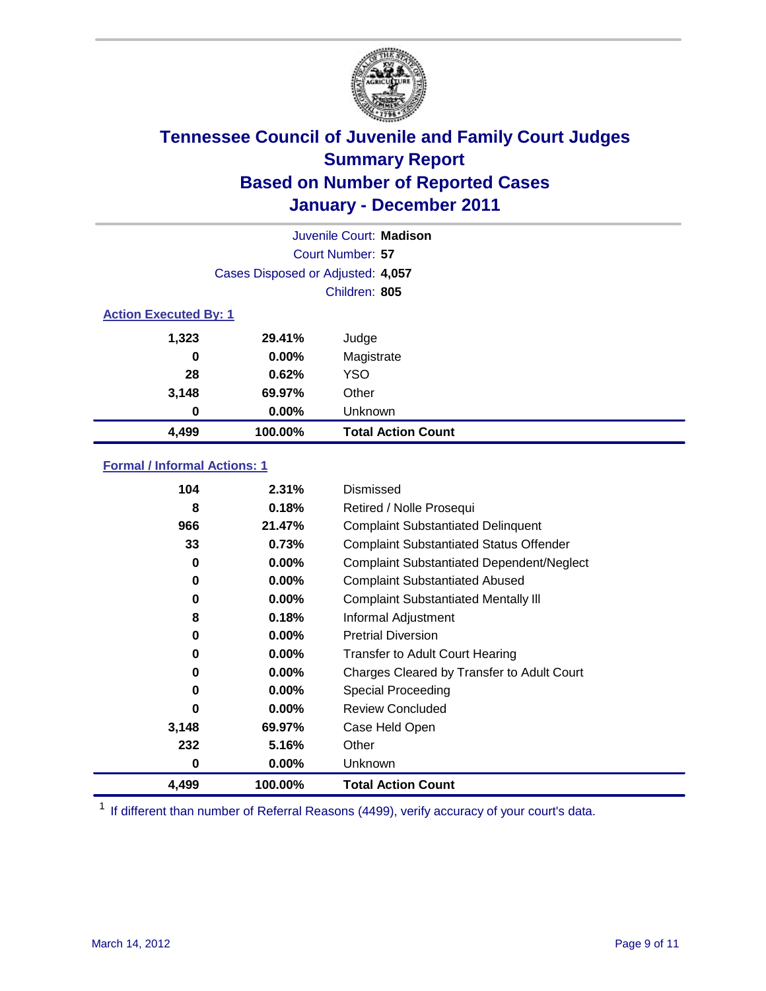

|                              |                                   | Juvenile Court: Madison   |  |  |
|------------------------------|-----------------------------------|---------------------------|--|--|
|                              |                                   | Court Number: 57          |  |  |
|                              | Cases Disposed or Adjusted: 4,057 |                           |  |  |
|                              |                                   | Children: 805             |  |  |
| <b>Action Executed By: 1</b> |                                   |                           |  |  |
| 1,323                        | 29.41%                            | Judge                     |  |  |
| 0                            | $0.00\%$                          | Magistrate                |  |  |
| 28                           | 0.62%                             | <b>YSO</b>                |  |  |
| 3,148                        | 69.97%                            | Other                     |  |  |
| 0                            | 0.00%                             | Unknown                   |  |  |
| 4,499                        | 100.00%                           | <b>Total Action Count</b> |  |  |

### **Formal / Informal Actions: 1**

| 104   | 2.31%    | Dismissed                                        |
|-------|----------|--------------------------------------------------|
| 8     | 0.18%    | Retired / Nolle Prosequi                         |
| 966   | 21.47%   | <b>Complaint Substantiated Delinquent</b>        |
| 33    | 0.73%    | <b>Complaint Substantiated Status Offender</b>   |
| 0     | 0.00%    | <b>Complaint Substantiated Dependent/Neglect</b> |
| 0     | $0.00\%$ | <b>Complaint Substantiated Abused</b>            |
| 0     | $0.00\%$ | <b>Complaint Substantiated Mentally III</b>      |
| 8     | 0.18%    | Informal Adjustment                              |
| 0     | $0.00\%$ | <b>Pretrial Diversion</b>                        |
| 0     | $0.00\%$ | <b>Transfer to Adult Court Hearing</b>           |
| 0     | $0.00\%$ | Charges Cleared by Transfer to Adult Court       |
| 0     | $0.00\%$ | <b>Special Proceeding</b>                        |
| 0     | $0.00\%$ | <b>Review Concluded</b>                          |
| 3,148 | 69.97%   | Case Held Open                                   |
| 232   | 5.16%    | Other                                            |
| 0     | $0.00\%$ | <b>Unknown</b>                                   |
| 4,499 | 100.00%  | <b>Total Action Count</b>                        |

<sup>1</sup> If different than number of Referral Reasons (4499), verify accuracy of your court's data.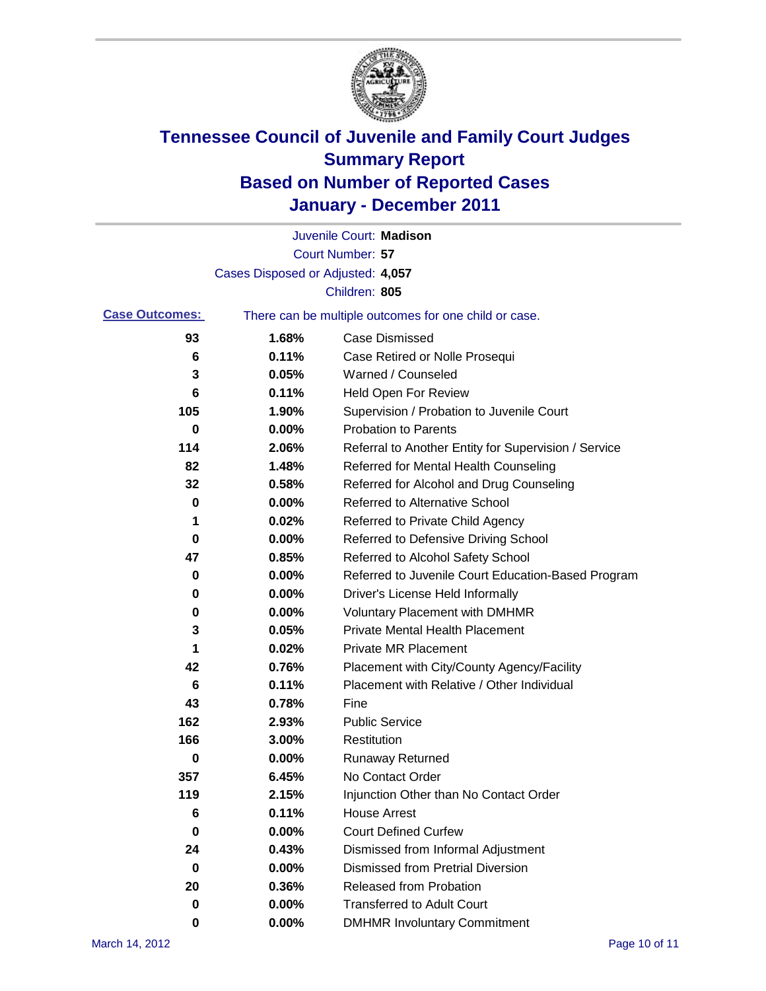

|                       |                                   | Juvenile Court: Madison                               |
|-----------------------|-----------------------------------|-------------------------------------------------------|
|                       |                                   | Court Number: 57                                      |
|                       | Cases Disposed or Adjusted: 4,057 |                                                       |
|                       |                                   | Children: 805                                         |
| <b>Case Outcomes:</b> |                                   | There can be multiple outcomes for one child or case. |
| 93                    | 1.68%                             | Case Dismissed                                        |
| 6                     | 0.11%                             | Case Retired or Nolle Prosequi                        |
| 3                     | 0.05%                             | Warned / Counseled                                    |
| 6                     | 0.11%                             | Held Open For Review                                  |
| 105                   | 1.90%                             | Supervision / Probation to Juvenile Court             |
| 0                     | 0.00%                             | <b>Probation to Parents</b>                           |
| 114                   | 2.06%                             | Referral to Another Entity for Supervision / Service  |
| 82                    | 1.48%                             | Referred for Mental Health Counseling                 |
| 32                    | 0.58%                             | Referred for Alcohol and Drug Counseling              |
| 0                     | 0.00%                             | <b>Referred to Alternative School</b>                 |
| 1                     | 0.02%                             | Referred to Private Child Agency                      |
| 0                     | 0.00%                             | Referred to Defensive Driving School                  |
| 47                    | 0.85%                             | Referred to Alcohol Safety School                     |
| 0                     | 0.00%                             | Referred to Juvenile Court Education-Based Program    |
| 0                     | 0.00%                             | Driver's License Held Informally                      |
| 0                     | 0.00%                             | <b>Voluntary Placement with DMHMR</b>                 |
| 3                     | 0.05%                             | <b>Private Mental Health Placement</b>                |
| 1                     | 0.02%                             | <b>Private MR Placement</b>                           |
| 42                    | 0.76%                             | Placement with City/County Agency/Facility            |
| 6                     | 0.11%                             | Placement with Relative / Other Individual            |
| 43                    | 0.78%                             | Fine                                                  |
| 162                   | 2.93%                             | <b>Public Service</b>                                 |
| 166                   | 3.00%                             | Restitution                                           |
| 0                     | 0.00%                             | <b>Runaway Returned</b>                               |
| 357                   | 6.45%                             | No Contact Order                                      |
| 119                   | 2.15%                             | Injunction Other than No Contact Order                |
| 6                     | 0.11%                             | <b>House Arrest</b>                                   |
| 0                     | 0.00%                             | <b>Court Defined Curfew</b>                           |
| 24                    | 0.43%                             | Dismissed from Informal Adjustment                    |
| $\bf{0}$              | 0.00%                             | <b>Dismissed from Pretrial Diversion</b>              |
| 20                    | 0.36%                             | Released from Probation                               |
| 0                     | 0.00%                             | <b>Transferred to Adult Court</b>                     |
| 0                     | $0.00\%$                          | <b>DMHMR Involuntary Commitment</b>                   |